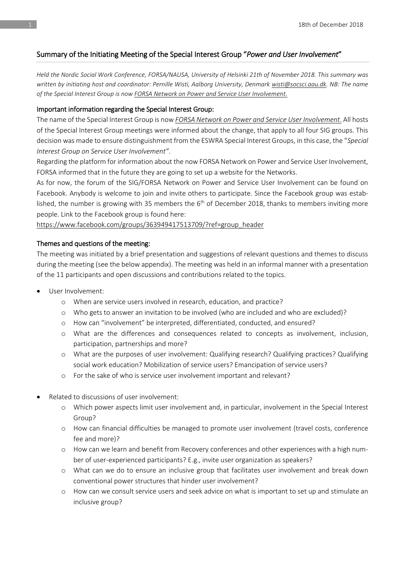# Summary of the Initiating Meeting of the Special Interest Group "*Power and User Involvement*"

*Held the Nordic Social Work Conference, FORSA/NAUSA, University of Helsinki 21th of November 2018. This summary was written by initiating host and coordinator: Pernille Wisti, Aalborg University, Denmark [wisti@socsci.aau.dk.](mailto:wisti@socsci.aau.dk) NB: The name of the Special Interest Group is now FORSA Network on Power and Service User Involvement*.

### Important information regarding the Special Interest Group:

The name of the Special Interest Group is now *FORSA Network on Power and Service User Involvement*. All hosts of the Special Interest Group meetings were informed about the change, that apply to all four SIG groups. This decision was made to ensure distinguishment from the ESWRA Special Interest Groups, in this case, the "*Special Interest Group on Service User Involvement"*.

Regarding the platform for information about the now FORSA Network on Power and Service User Involvement, FORSA informed that in the future they are going to set up a website for the Networks.

As for now, the forum of the SIG/FORSA Network on Power and Service User Involvement can be found on Facebook. Anybody is welcome to join and invite others to participate. Since the Facebook group was established, the number is growing with 35 members the  $6<sup>th</sup>$  of December 2018, thanks to members inviting more people. Link to the Facebook group is found here:

[https://www.facebook.com/groups/363949417513709/?ref=group\\_header](https://www.facebook.com/groups/363949417513709/?ref=group_header)

### Themes and questions of the meeting:

The meeting was initiated by a brief presentation and suggestions of relevant questions and themes to discuss during the meeting (see the below appendix). The meeting was held in an informal manner with a presentation of the 11 participants and open discussions and contributions related to the topics.

- User Involvement:
	- o When are service users involved in research, education, and practice?
	- o Who gets to answer an invitation to be involved (who are included and who are excluded)?
	- o How can "involvement" be interpreted, differentiated, conducted, and ensured?
	- o What are the differences and consequences related to concepts as involvement, inclusion, participation, partnerships and more?
	- o What are the purposes of user involvement: Qualifying research? Qualifying practices? Qualifying social work education? Mobilization of service users? Emancipation of service users?
	- o For the sake of who is service user involvement important and relevant?
- Related to discussions of user involvement:
	- o Which power aspects limit user involvement and, in particular, involvement in the Special Interest Group?
	- o How can financial difficulties be managed to promote user involvement (travel costs, conference fee and more)?
	- o How can we learn and benefit from Recovery conferences and other experiences with a high number of user-experienced participants? E.g., invite user organization as speakers?
	- o What can we do to ensure an inclusive group that facilitates user involvement and break down conventional power structures that hinder user involvement?
	- o How can we consult service users and seek advice on what is important to set up and stimulate an inclusive group?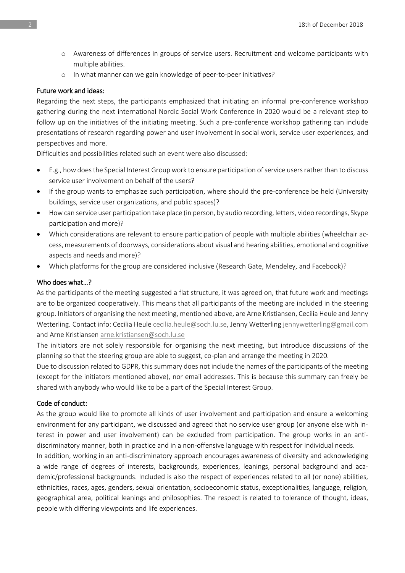- o Awareness of differences in groups of service users. Recruitment and welcome participants with multiple abilities.
- o In what manner can we gain knowledge of peer-to-peer initiatives?

#### Future work and ideas:

Regarding the next steps, the participants emphasized that initiating an informal pre-conference workshop gathering during the next international Nordic Social Work Conference in 2020 would be a relevant step to follow up on the initiatives of the initiating meeting. Such a pre-conference workshop gathering can include presentations of research regarding power and user involvement in social work, service user experiences, and perspectives and more.

Difficulties and possibilities related such an event were also discussed:

- E.g., how does the Special Interest Group work to ensure participation of service users rather than to discuss service user involvement on behalf of the users?
- If the group wants to emphasize such participation, where should the pre-conference be held (University buildings, service user organizations, and public spaces)?
- How can service user participation take place (in person, by audio recording, letters, video recordings, Skype participation and more)?
- Which considerations are relevant to ensure participation of people with multiple abilities (wheelchair access, measurements of doorways, considerations about visual and hearing abilities, emotional and cognitive aspects and needs and more)?
- Which platforms for the group are considered inclusive (Research Gate, Mendeley, and Facebook)?

#### Who does what…?

As the participants of the meeting suggested a flat structure, it was agreed on, that future work and meetings are to be organized cooperatively. This means that all participants of the meeting are included in the steering group. Initiators of organising the next meeting, mentioned above, are Arne Kristiansen, Cecilia Heule and Jenny Wetterling. Contact info: Cecilia Heule cecilia.heule@soch.lu.se. Jenny Wetterling [jennywetterling@gmail.com](mailto:jennywetterling@gmail.com) and Arne Kristianse[n arne.kristiansen@soch.lu.se](mailto:arne.kristiansen@soch.lu.se)

The initiators are not solely responsible for organising the next meeting, but introduce discussions of the planning so that the steering group are able to suggest, co-plan and arrange the meeting in 2020.

Due to discussion related to GDPR, this summary does not include the names of the participants of the meeting (except for the initiators mentioned above), nor email addresses. This is because this summary can freely be shared with anybody who would like to be a part of the Special Interest Group.

# Code of conduct:

As the group would like to promote all kinds of user involvement and participation and ensure a welcoming environment for any participant, we discussed and agreed that no service user group (or anyone else with interest in power and user involvement) can be excluded from participation. The group works in an antidiscriminatory manner, both in practice and in a non-offensive language with respect for individual needs.

In addition, working in an anti-discriminatory approach encourages awareness of diversity and acknowledging a wide range of degrees of interests, backgrounds, experiences, leanings, personal background and academic/professional backgrounds. Included is also the respect of experiences related to all (or none) abilities, ethnicities, races, ages, genders, sexual orientation, socioeconomic status, exceptionalities, language, religion, geographical area, political leanings and philosophies. The respect is related to tolerance of thought, ideas, people with differing viewpoints and life experiences.